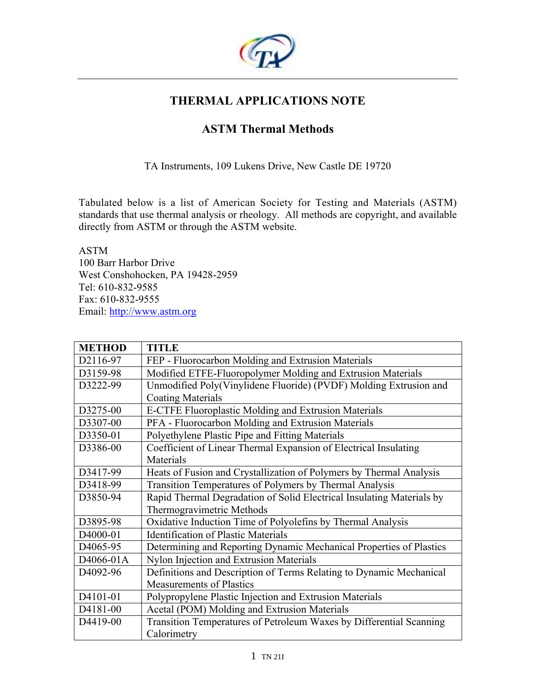

## **THERMAL APPLICATIONS NOTE**

# **ASTM Thermal Methods**

TA Instruments, 109 Lukens Drive, New Castle DE 19720

Tabulated below is a list of American Society for Testing and Materials (ASTM) standards that use thermal analysis or rheology. All methods are copyright, and available directly from ASTM or through the ASTM website.

ASTM 100 Barr Harbor Drive West Conshohocken, PA 19428-2959 Tel: 610-832-9585 Fax: 610-832-9555 Email: http://www.astm.org

| <b>METHOD</b>         | <b>TITLE</b>                                                          |
|-----------------------|-----------------------------------------------------------------------|
| D2116-97              | FEP - Fluorocarbon Molding and Extrusion Materials                    |
| D3159-98              | Modified ETFE-Fluoropolymer Molding and Extrusion Materials           |
| D3222-99              | Unmodified Poly(Vinylidene Fluoride) (PVDF) Molding Extrusion and     |
|                       | <b>Coating Materials</b>                                              |
| D3275-00              | <b>E-CTFE Fluoroplastic Molding and Extrusion Materials</b>           |
| D3307-00              | PFA - Fluorocarbon Molding and Extrusion Materials                    |
| D3350-01              | Polyethylene Plastic Pipe and Fitting Materials                       |
| D3386-00              | Coefficient of Linear Thermal Expansion of Electrical Insulating      |
|                       | Materials                                                             |
| D3417-99              | Heats of Fusion and Crystallization of Polymers by Thermal Analysis   |
| D3418-99              | Transition Temperatures of Polymers by Thermal Analysis               |
| D3850-94              | Rapid Thermal Degradation of Solid Electrical Insulating Materials by |
|                       | Thermogravimetric Methods                                             |
| D3895-98              | Oxidative Induction Time of Polyolefins by Thermal Analysis           |
| D <sub>4000</sub> -01 | <b>Identification of Plastic Materials</b>                            |
| D <sub>4065</sub> -95 | Determining and Reporting Dynamic Mechanical Properties of Plastics   |
| D4066-01A             | Nylon Injection and Extrusion Materials                               |
| D <sub>4092-96</sub>  | Definitions and Description of Terms Relating to Dynamic Mechanical   |
|                       | <b>Measurements of Plastics</b>                                       |
| D4101-01              | Polypropylene Plastic Injection and Extrusion Materials               |
| D4181-00              | Acetal (POM) Molding and Extrusion Materials                          |
| D4419-00              | Transition Temperatures of Petroleum Waxes by Differential Scanning   |
|                       | Calorimetry                                                           |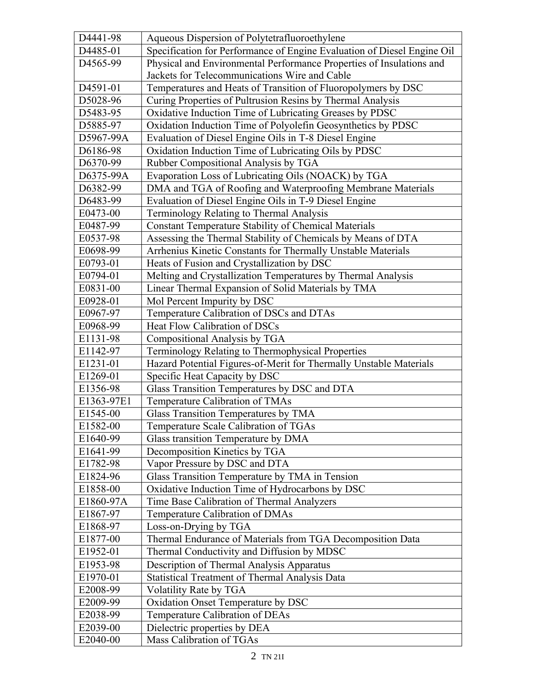| D4441-98   | Aqueous Dispersion of Polytetrafluoroethylene                           |
|------------|-------------------------------------------------------------------------|
| D4485-01   | Specification for Performance of Engine Evaluation of Diesel Engine Oil |
| D4565-99   | Physical and Environmental Performance Properties of Insulations and    |
|            | Jackets for Telecommunications Wire and Cable                           |
| D4591-01   | Temperatures and Heats of Transition of Fluoropolymers by DSC           |
| D5028-96   | Curing Properties of Pultrusion Resins by Thermal Analysis              |
| D5483-95   | Oxidative Induction Time of Lubricating Greases by PDSC                 |
| D5885-97   | Oxidation Induction Time of Polyolefin Geosynthetics by PDSC            |
| D5967-99A  | Evaluation of Diesel Engine Oils in T-8 Diesel Engine                   |
| D6186-98   | Oxidation Induction Time of Lubricating Oils by PDSC                    |
| D6370-99   | Rubber Compositional Analysis by TGA                                    |
| D6375-99A  | Evaporation Loss of Lubricating Oils (NOACK) by TGA                     |
| D6382-99   | DMA and TGA of Roofing and Waterproofing Membrane Materials             |
| D6483-99   | Evaluation of Diesel Engine Oils in T-9 Diesel Engine                   |
| E0473-00   | Terminology Relating to Thermal Analysis                                |
| E0487-99   | <b>Constant Temperature Stability of Chemical Materials</b>             |
| E0537-98   | Assessing the Thermal Stability of Chemicals by Means of DTA            |
| E0698-99   | Arrhenius Kinetic Constants for Thermally Unstable Materials            |
| E0793-01   | Heats of Fusion and Crystallization by DSC                              |
| E0794-01   | Melting and Crystallization Temperatures by Thermal Analysis            |
| E0831-00   | Linear Thermal Expansion of Solid Materials by TMA                      |
| E0928-01   | Mol Percent Impurity by DSC                                             |
| E0967-97   | Temperature Calibration of DSCs and DTAs                                |
| E0968-99   | Heat Flow Calibration of DSCs                                           |
| E1131-98   | Compositional Analysis by TGA                                           |
| E1142-97   | Terminology Relating to Thermophysical Properties                       |
| E1231-01   | Hazard Potential Figures-of-Merit for Thermally Unstable Materials      |
| E1269-01   | Specific Heat Capacity by DSC                                           |
| E1356-98   | Glass Transition Temperatures by DSC and DTA                            |
| E1363-97E1 | Temperature Calibration of TMAs                                         |
| E1545-00   | Glass Transition Temperatures by TMA                                    |
| E1582-00   | Temperature Scale Calibration of TGAs                                   |
| E1640-99   | Glass transition Temperature by DMA                                     |
| E1641-99   | Decomposition Kinetics by TGA                                           |
| E1782-98   | Vapor Pressure by DSC and DTA                                           |
| E1824-96   | Glass Transition Temperature by TMA in Tension                          |
| E1858-00   | Oxidative Induction Time of Hydrocarbons by DSC                         |
| E1860-97A  | Time Base Calibration of Thermal Analyzers                              |
| E1867-97   | Temperature Calibration of DMAs                                         |
| E1868-97   | Loss-on-Drying by TGA                                                   |
| E1877-00   | Thermal Endurance of Materials from TGA Decomposition Data              |
| E1952-01   | Thermal Conductivity and Diffusion by MDSC®                             |
| E1953-98   | Description of Thermal Analysis Apparatus                               |
| E1970-01   | <b>Statistical Treatment of Thermal Analysis Data</b>                   |
| E2008-99   | Volatility Rate by TGA                                                  |
| E2009-99   | Oxidation Onset Temperature by DSC                                      |
| E2038-99   | Temperature Calibration of DEAs                                         |
| E2039-00   | Dielectric properties by DEA                                            |
| E2040-00   | Mass Calibration of TGAs                                                |